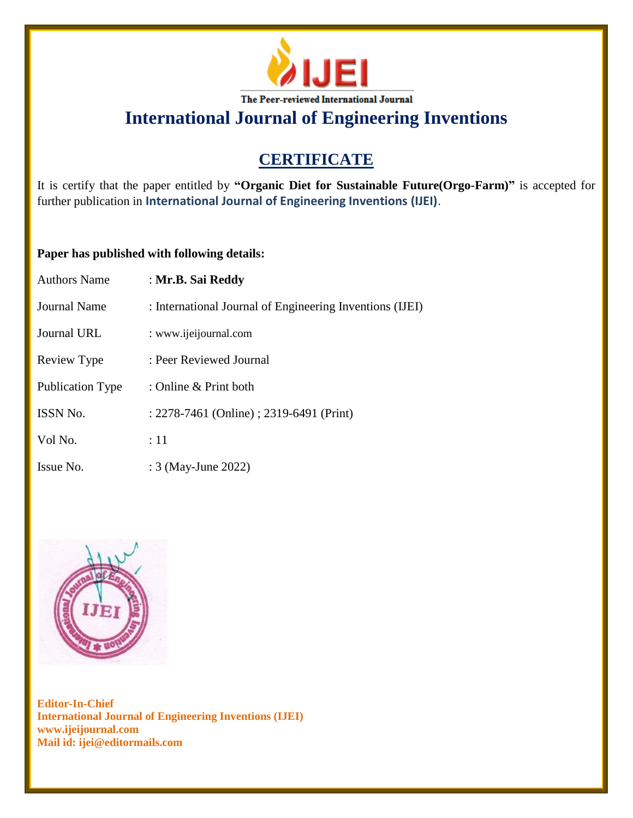

# **CERTIFICATE**

It is certify that the paper entitled by **"Organic Diet for Sustainable Future(Orgo-Farm)"** is accepted for further publication in **International Journal of Engineering Inventions (IJEI)**.

## **Paper has published with following details:**

| <b>Authors Name</b>     | : Mr.B. Sai Reddy                                        |
|-------------------------|----------------------------------------------------------|
| <b>Journal Name</b>     | : International Journal of Engineering Inventions (IJEI) |
| <b>Journal URL</b>      | : www.ijeijournal.com                                    |
| Review Type             | : Peer Reviewed Journal                                  |
| <b>Publication Type</b> | : Online & Print both                                    |
| <b>ISSN No.</b>         | : 2278-7461 (Online) ; 2319-6491 (Print)                 |
| Vol No.                 | :11                                                      |
| Issue No.               | : 3 (May-June 2022)                                      |

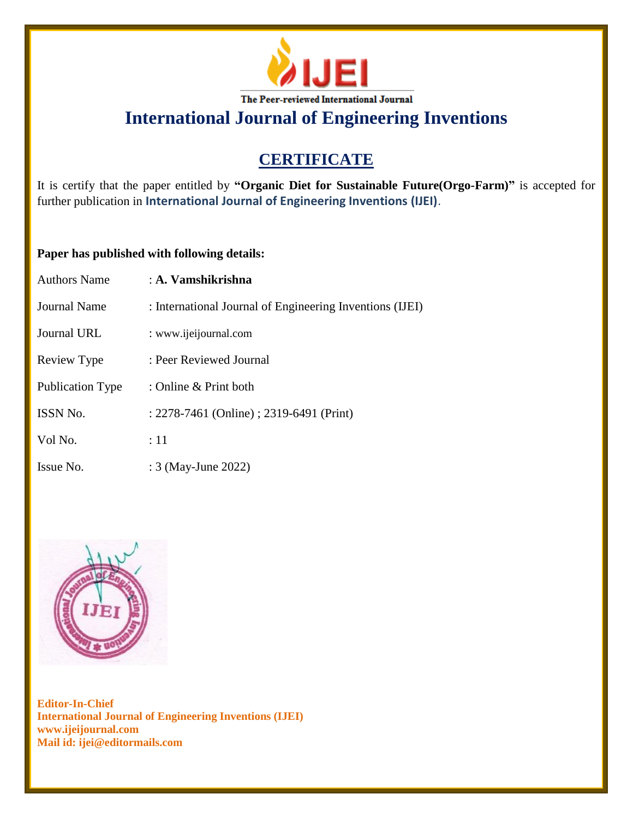

# **CERTIFICATE**

It is certify that the paper entitled by **"Organic Diet for Sustainable Future(Orgo-Farm)"** is accepted for further publication in **International Journal of Engineering Inventions (IJEI)**.

## **Paper has published with following details:**

| <b>Authors Name</b>     | $\pm$ A. Vamshikrishna                                   |
|-------------------------|----------------------------------------------------------|
| <b>Journal Name</b>     | : International Journal of Engineering Inventions (IJEI) |
| Journal URL             | : www.ijeijournal.com                                    |
| Review Type             | : Peer Reviewed Journal                                  |
| <b>Publication Type</b> | : Online $&$ Print both                                  |
| <b>ISSN No.</b>         | : 2278-7461 (Online) ; 2319-6491 (Print)                 |
| Vol No.                 | :11                                                      |
| Issue No.               | : 3 (May-June 2022)                                      |

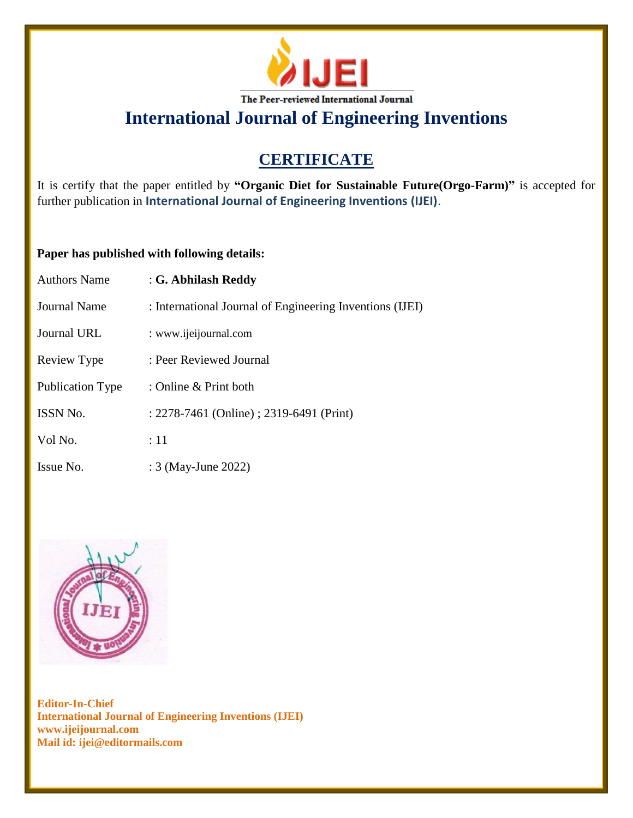

# **CERTIFICATE**

It is certify that the paper entitled by **"Organic Diet for Sustainable Future(Orgo-Farm)"** is accepted for further publication in **International Journal of Engineering Inventions (IJEI)**.

## **Paper has published with following details:**

| <b>Authors Name</b>     | : G. Abhilash Reddy                                      |
|-------------------------|----------------------------------------------------------|
| Journal Name            | : International Journal of Engineering Inventions (IJEI) |
| Journal URL             | : www.ijeijournal.com                                    |
| Review Type             | : Peer Reviewed Journal                                  |
| <b>Publication Type</b> | : Online & Print both                                    |
| ISSN No.                | : 2278-7461 (Online) ; 2319-6491 (Print)                 |
| Vol No.                 | :11                                                      |
| Issue No.               | : 3 (May-June 2022)                                      |